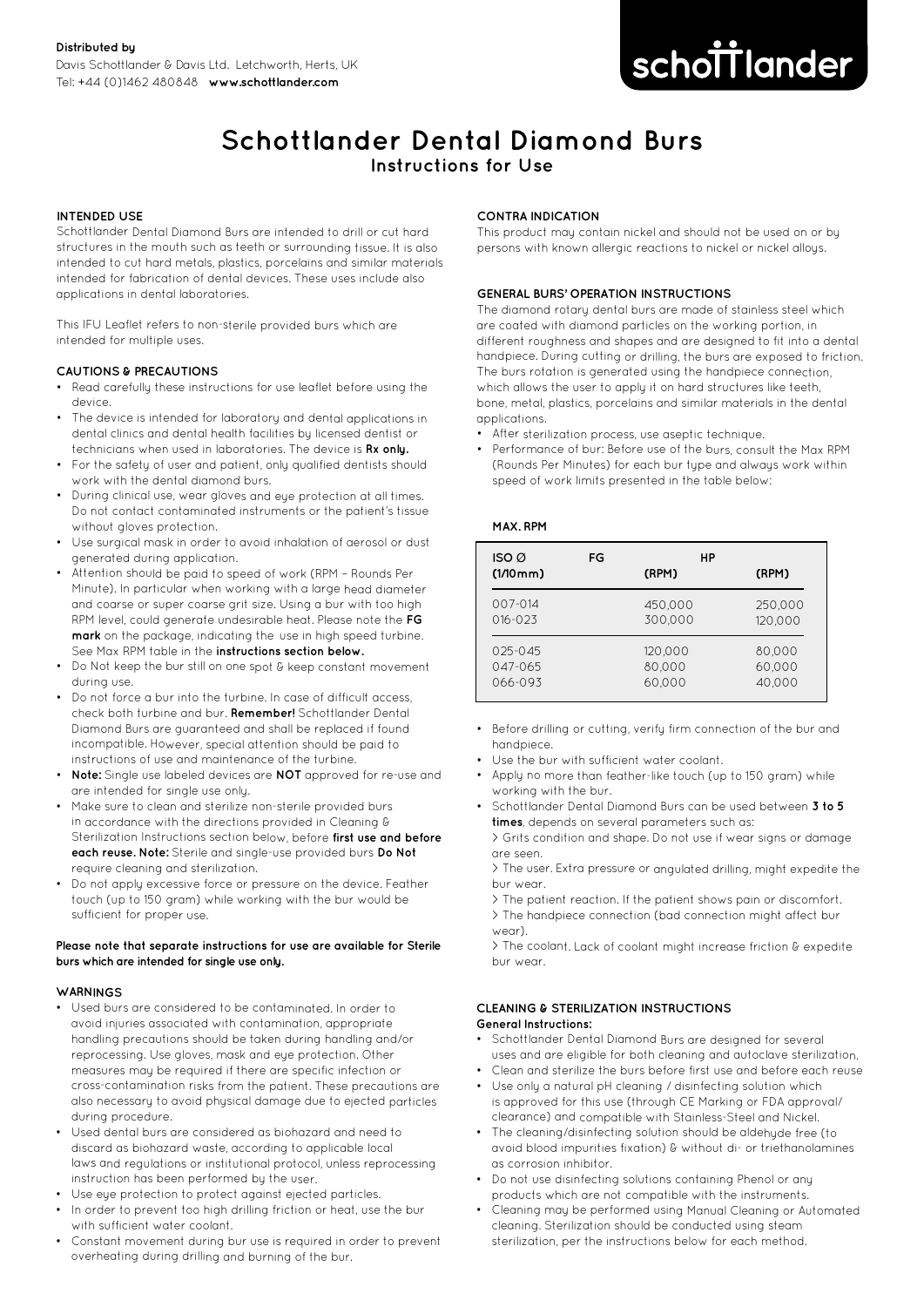# **improving dentistry together**

# **Schottlander Dental Diamond Burs Instructions for Use**

# **INTENDED USE**

Schottlander Dental Diamond Burs are intended to drill or cut hard structures in the mouth such as teeth or surrounding tissue. It is also intended to cut hard metals, plastics, porcelains and similar materials intended for fabrication of dental devices. These uses include also applications in dental laboratories.

This IFU Leaflet refers to non-sterile provided burs which are intended for multiple uses.

# **CAUTIONS & PRECAUTIONS**

- Read carefully these instructions for use leaflet before using the device.
- • The device is intended for laboratory and dental applications in dental clinics and dental health facilities by licensed dentist or technicians when used in laboratories. The device is **Rx only.**
- For the safety of user and patient, only qualified dentists should work with the dental diamond burs.
- During clinical use, wear gloves and eye protection at all times. Do not contact contaminated instruments or the patient's tissue without gloves protection.
- Use surgical mask in order to avoid inhalation of aerosol or dust generated during application.
- • Attention should be paid to speed of work (RPM – Rounds Per Minute). In particular when working with a large head diameter and coarse or super coarse grit size. Using a bur with too high RPM level, could generate undesirable heat. Please note the **FG mark** on the package, indicating the use in high speed turbine. See Max RPM table in the **instructions section below.**
- Do Not keep the bur still on one spot & keep constant movement during use.
- • Do not force a bur into the turbine. In case of difficult access, check both turbine and bur. **Remember!** Schottlander Dental Diamond Burs are guaranteed and shall be replaced if found incompatible. However, special attention should be paid to instructions of use and maintenance of the turbine.
- **Note:** Single use labeled devices are **NOT** approved for re-use and are intended for single use only.
- Make sure to clean and sterilize non-sterile provided burs in accordance with the directions provided in Cleaning & Sterilization Instructions section below, before **first use and before each reuse. Note:** Sterile and single-use provided burs **Do Not** require cleaning and sterilization.
- Do not apply excessive force or pressure on the device. Feather touch (up to 150 gram) while working with the bur would be sufficient for proper use.

# **Please note that separate instructions for use are available for Sterile burs which are intended for single use only.**

# **WARNINGS**

- Used burs are considered to be contaminated. In order to avoid injuries associated with contamination, appropriate handling precautions should be taken during handling and/or reprocessing. Use gloves, mask and eye protection. Other measures may be required if there are specific infection or cross-contamination risks from the patient. These precautions are also necessary to avoid physical damage due to ejected particles during procedure.
- • Used dental burs are considered as biohazard and need to discard as biohazard waste, according to applicable local laws and regulations or institutional protocol, unless reprocessing instruction has been performed by the user.
- Use eye protection to protect against ejected particles. •In order to prevent too high drilling friction or heat, use the bur
- with sufficient water coolant.
- Constant movement during bur use is required in order to prevent overheating during drilling and burning of the bur.

# **CONTRA INDICATION**

This product may contain nickel and should not be used on or by persons with known allergic reactions to nickel or nickel alloys.

# **GENERAL BURS' OPERATION INSTRUCTIONS**

The diamond rotary dental burs are made of stainless steel which are coated with diamond particles on the working portion, in different roughness and shapes and are designed to fit into a dental handpiece. During cutting or drilling, the burs are exposed to friction. The burs rotation is generated using the handpiece connection, which allows the user to apply it on hard structures like teeth, bone, metal, plastics, porcelains and similar materials in the dental applications.

- After sterilization process, use aseptic technique.
- • Performance of bur: Before use of the burs, consult the Max RPM (Rounds Per Minutes) for each bur type and always work within speed of work limits presented in the table below:

#### **MAX. RPM**

| ISO@<br>$(1/10$ mm $)$ | FG | НP<br>(RPM) | (RPM)   |
|------------------------|----|-------------|---------|
| 007-014                |    | 450,000     | 250,000 |
| $016 - 023$            |    | 300,000     | 120,000 |
| $025 - 045$            |    | 120,000     | 80.000  |
| 047-065                |    | 80.000      | 60.000  |
| 066-093                |    | 60.000      | 40.000  |

- Before drilling or cutting, verify firm connection of the bur and handpiece.
- •Use the bur with sufficient water coolant.
- • Apply no more than feather-like touch (up to 150 gram) while working with the bur.
- • Schottlander Dental Diamond Burs can be used between **3 to 5 times**, depends on several parameters such as:

> Grits condition and shape. Do not use if wear signs or damage are seen.

> The user. Extra pressure or angulated drilling, might expedite the bur wear.

> The patient reaction. If the patient shows pain or discomfort. > The handpiece connection (bad connection might affect bur wear).

> The coolant. Lack of coolant might increase friction & expedite bur wear.

#### **CLEANING & STERILIZATION INSTRUCTIONSGeneral Instructions:**

- Schottlander Dental Diamond Burs are designed for several uses and are eligible for both cleaning and autoclave sterilization.
- Clean and sterilize the burs before first use and before each reuse
- Use only a natural pH cleaning / disinfecting solution which is approved for this use (through CE Marking or FDA approval/ clearance) and compatible with Stainless-Steel and Nickel.
- The cleaning/disinfecting solution should be aldehyde free (to avoid blood impurities fixation) & without di- or triethanolamines as corrosion inhibitor.
- Do not use disinfecting solutions containing Phenol or any products which are not compatible with the instruments.
- • Cleaning may be performed using Manual Cleaning or Automated cleaning. Sterilization should be conducted using steam sterilization, per the instructions below for each method.